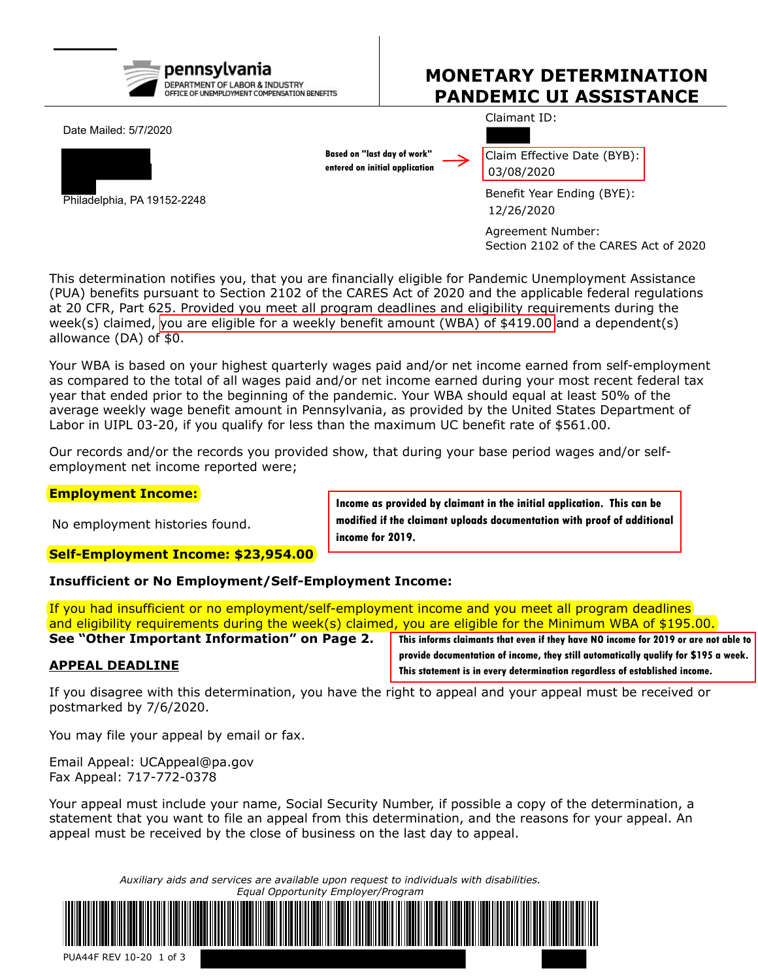

# **MONETARY DETERMINATION PANDEMIC UI ASSISTANCE**

Date Mailed: 5/7/2020



Philadelphia, PA 19152-2248

**Based on "last day of work" entered on initial application** Claim Effective Date (BYB): 03/08/2020

Claimant ID:

Benefit Year Ending (BYE): 12/26/2020

Agreement Number: Section 2102 of the CARES Act of 2020

This determination notifies you, that you are financially eligible for Pandemic Unemployment Assistance (PUA) benefits pursuant to Section 2102 of the CARES Act of 2020 and the applicable federal regulations at 20 CFR, Part 625. Provided you meet all program deadlines and eligibility requirements during the week(s) claimed, you are eligible for a weekly benefit amount (WBA) of \$419.00 and a dependent(s) allowance (DA) of \$0.

Your WBA is based on your highest quarterly wages paid and/or net income earned from self-employment as compared to the total of all wages paid and/or net income earned during your most recent federal tax year that ended prior to the beginning of the pandemic. Your WBA should equal at least 50% of the average weekly wage benefit amount in Pennsylvania, as provided by the United States Department of Labor in UIPL 03-20, if you qualify for less than the maximum UC benefit rate of \$561.00.

Our records and/or the records you provided show, that during your base period wages and/or selfemployment net income reported were;

#### **Employment Income:**

No employment histories found.

**Income as provided by claimant in the initial application. This can be modified if the claimant uploads documentation with proof of additional income for 2019.**

## **Self-Employment Income: \$23,954.00**

**Insufficient or No Employment/Self-Employment Income:**

If you had insufficient or no employment/self-employment income and you meet all program deadlines and eligibility requirements during the week(s) claimed, you are eligible for the Minimum WBA of \$195.00. **See "Other Important Information" on Page 2.**

#### **APPEAL DEADLINE**

**This informs claimants that even if they have NO income for 2019 or are not able to provide documentation of income, they still automatically qualify for \$195 a week. This statement is in every determination regardless of established income.**

If you disagree with this determination, you have the right to appeal and your appeal must be received or postmarked by 7/6/2020.

You may file your appeal by email or fax.

Email Appeal: UCAppeal@pa.gov Fax Appeal: 717-772-0378

Your appeal must include your name, Social Security Number, if possible a copy of the determination, a statement that you want to file an appeal from this determination, and the reasons for your appeal. An appeal must be received by the close of business on the last day to appeal.

> *Auxiliary aids and services are available upon request to individuals with disabilities. Equal Opportunity Employer/Program*



PUA44F REV 10-20 1 of 3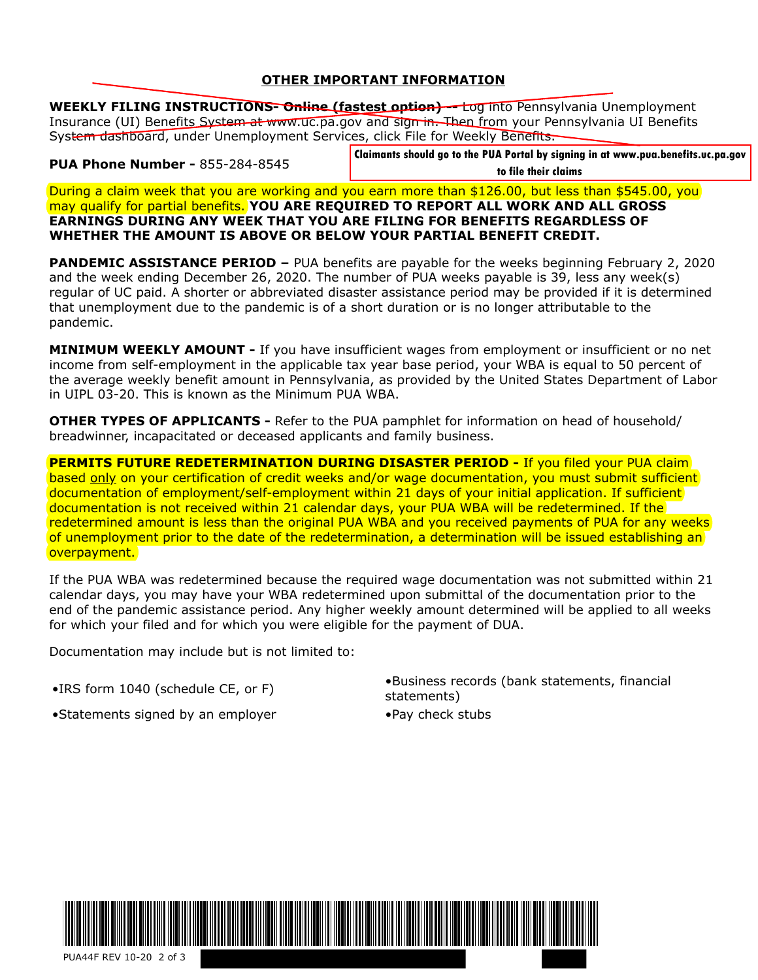#### **OTHER IMPORTANT INFORMATION**

**WEEKLY FILING INSTRUCTIONS- Online (fastest option) --** Log into Pennsylvania Unemployment Insurance (UI) Benefits System at www.uc.pa.gov and sign in. Then from your Pennsylvania UI Benefits System dashboard, under Unemployment Services, click File for Weekly Benefits.

**PUA Phone Number -** 855-284-8545

 **to file their claims**

During a claim week that you are working and you earn more than \$126.00, but less than \$545.00, you may qualify for partial benefits. **YOU ARE REQUIRED TO REPORT ALL WORK AND ALL GROSS EARNINGS DURING ANY WEEK THAT YOU ARE FILING FOR BENEFITS REGARDLESS OF WHETHER THE AMOUNT IS ABOVE OR BELOW YOUR PARTIAL BENEFIT CREDIT.**

**PANDEMIC ASSISTANCE PERIOD –** PUA benefits are payable for the weeks beginning February 2, 2020 and the week ending December 26, 2020. The number of PUA weeks payable is 39, less any week(s) regular of UC paid. A shorter or abbreviated disaster assistance period may be provided if it is determined that unemployment due to the pandemic is of a short duration or is no longer attributable to the pandemic.

**MINIMUM WEEKLY AMOUNT -** If you have insufficient wages from employment or insufficient or no net income from self-employment in the applicable tax year base period, your WBA is equal to 50 percent of the average weekly benefit amount in Pennsylvania, as provided by the United States Department of Labor in UIPL 03-20. This is known as the Minimum PUA WBA.

**OTHER TYPES OF APPLICANTS -** Refer to the PUA pamphlet for information on head of household/ breadwinner, incapacitated or deceased applicants and family business.

**PERMITS FUTURE REDETERMINATION DURING DISASTER PERIOD - If you filed your PUA claim** based only on your certification of credit weeks and/or wage documentation, you must submit sufficient documentation of employment/self-employment within 21 days of your initial application. If sufficient documentation is not received within 21 calendar days, your PUA WBA will be redetermined. If the redetermined amount is less than the original PUA WBA and you received payments of PUA for any weeks of unemployment prior to the date of the redetermination, a determination will be issued establishing an overpayment. **IA Phone Review For 2008-2008 Comparison and FR PUA Portal by signing in a claimants shown and the PUA Portal By the PUA Portal By Signing in a state of the PUA Portal By the PUA Portal By the PUA POLICIES TO THE AND CONS** 

If the PUA WBA was redetermined because the required wage documentation was not submitted within 21 calendar days, you may have your WBA redetermined upon submittal of the documentation prior to the end of the pandemic assistance period. Any higher weekly amount determined will be applied to all weeks for which your filed and for which you were eligible for the payment of DUA.

Documentation may include but is not limited to:

•Statements signed by an employer •Pay check stubs

•IRS form 1040 (schedule CE, or F) •Business records (bank statements, financial statements)